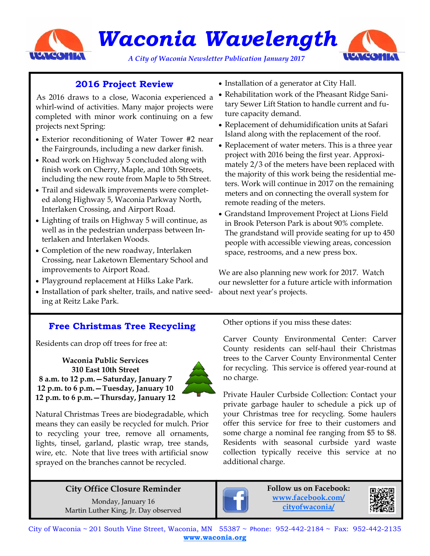

*Waconia Wavelength* 

*A City of Waconia Newsletter Publication January 2017* 



# **2016 Project Review**

 As 2016 draws to a close, Waconia experienced a whirl-wind of activities. Many major projects were completed with minor work continuing on a few projects next Spring:

- Exterior reconditioning of Water Tower #2 near the Fairgrounds, including a new darker finish.
- Road work on Highway 5 concluded along with finish work on Cherry, Maple, and 10th Streets, including the new route from Maple to 5th Street.
- Trail and sidewalk improvements were completed along Highway 5, Waconia Parkway North, Interlaken Crossing, and Airport Road.
- Lighting of trails on Highway 5 will continue, as well as in the pedestrian underpass between Interlaken and Interlaken Woods.
- Completion of the new roadway, Interlaken Crossing, near Laketown Elementary School and improvements to Airport Road.
- Playground replacement at Hilks Lake Park.
- Installation of park shelter, trails, and native seed- about next year's projects. ing at Reitz Lake Park.
- Installation of a generator at City Hall.
- Rehabilitation work of the Pheasant Ridge Sanitary Sewer Lift Station to handle current and future capacity demand.
- Replacement of dehumidification units at Safari Island along with the replacement of the roof.
- Replacement of water meters. This is a three year project with 2016 being the first year. Approximately 2/3 of the meters have been replaced with the majority of this work being the residential meters. Work will continue in 2017 on the remaining meters and on connecting the overall system for remote reading of the meters.
- Grandstand Improvement Project at Lions Field in Brook Peterson Park is about 90% complete. The grandstand will provide seating for up to 450 people with accessible viewing areas, concession space, restrooms, and a new press box.

We are also planning new work for 2017. Watch our newsletter for a future article with information

# **Free Christmas Tree Recycling**

Residents can drop off trees for free at:

**Waconia Public Services 310 East 10th Street 8 a.m. to 12 p.m.—Saturday, January 7 12 p.m. to 6 p.m.—Tuesday, January 10 12 p.m. to 6 p.m.—Thursday, January 12** 



Natural Christmas Trees are biodegradable, which means they can easily be recycled for mulch. Prior to recycling your tree, remove all ornaments, lights, tinsel, garland, plastic wrap, tree stands, wire, etc. Note that live trees with artificial snow sprayed on the branches cannot be recycled.

# **City Office Closure Reminder**

Monday, January 16 Martin Luther King, Jr. Day observed Other options if you miss these dates:

Carver County Environmental Center: Carver County residents can self-haul their Christmas trees to the Carver County Environmental Center for recycling. This service is offered year-round at no charge.

Private Hauler Curbside Collection: Contact your private garbage hauler to schedule a pick up of your Christmas tree for recycling. Some haulers offer this service for free to their customers and some charge a nominal fee ranging from \$5 to \$8. Residents with seasonal curbside yard waste collection typically receive this service at no additional charge.



**Follow us on Facebook: www.facebook.com/ cityofwaconia/**



City of Waconia ~ 201 South Vine Street, Waconia, MN 55387 ~ Phone: 952-442-2184 ~ Fax: 952-442-2135 **www.waconia.org**